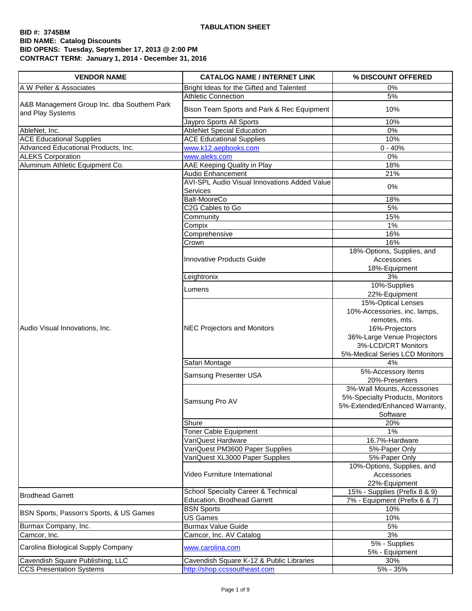| <b>VENDOR NAME</b>                                              | <b>CATALOG NAME / INTERNET LINK</b>                             | % DISCOUNT OFFERED                                                                                           |
|-----------------------------------------------------------------|-----------------------------------------------------------------|--------------------------------------------------------------------------------------------------------------|
| A W Peller & Associates                                         | Bright Ideas for the Gifted and Talented                        | 0%                                                                                                           |
|                                                                 | <b>Athletic Connection</b>                                      | 5%                                                                                                           |
| A&B Management Group Inc. dba Southern Park<br>and Play Systems | Bison Team Sports and Park & Rec Equipment                      | 10%                                                                                                          |
|                                                                 | Jaypro Sports All Sports                                        | 10%                                                                                                          |
| AbleNet, Inc.                                                   | <b>AbleNet Special Education</b>                                | 0%                                                                                                           |
| <b>ACE Educational Supplies</b>                                 | <b>ACE Educational Supplies</b>                                 | 10%                                                                                                          |
| Advanced Educational Products, Inc.                             | www.k12.aepbooks.com                                            | $0 - 40%$                                                                                                    |
| <b>ALEKS Corporation</b>                                        | www.aleks.com                                                   | 0%                                                                                                           |
| Aluminum Athletic Equipment Co.                                 | AAE Keeping Quality in Play                                     | 18%                                                                                                          |
|                                                                 | Audio Enhancement                                               | 21%                                                                                                          |
|                                                                 | <b>AVI-SPL Audio Visual Innovations Added Value</b><br>Services | 0%                                                                                                           |
|                                                                 | Balt-MooreCo                                                    | 18%                                                                                                          |
|                                                                 | C <sub>2</sub> G Cables to Go                                   | 5%                                                                                                           |
|                                                                 | Community                                                       | 15%                                                                                                          |
|                                                                 | Compix                                                          | $1\%$                                                                                                        |
|                                                                 | Comprehensive                                                   | 16%                                                                                                          |
|                                                                 | Crown                                                           | 16%                                                                                                          |
|                                                                 | Innovative Products Guide                                       | 18%-Options, Supplies, and<br>Accessories                                                                    |
|                                                                 |                                                                 | 18%-Equipment                                                                                                |
|                                                                 | Leightronix                                                     | 3%<br>10%-Supplies                                                                                           |
|                                                                 | Lumens                                                          |                                                                                                              |
|                                                                 |                                                                 | 22%-Equipment<br>15%-Optical Lenses                                                                          |
|                                                                 |                                                                 | 10%-Accessories, inc. lamps,<br>remotes, mts.                                                                |
| Audio Visual Innovations, Inc.                                  | <b>NEC Projectors and Monitors</b>                              | 16%-Projectors<br>36%-Large Venue Projectors<br>3%-LCD/CRT Monitors                                          |
|                                                                 |                                                                 | 5%-Medical Series LCD Monitors                                                                               |
|                                                                 | Safari Montage                                                  | 4%                                                                                                           |
|                                                                 | Samsung Presenter USA                                           | 5%-Accessory Items<br>20%-Presenters                                                                         |
|                                                                 | Samsung Pro AV                                                  | 3%-Wall Mounts, Accessories<br>5%-Specialty Products, Monitors<br>5%-Extended/Enhanced Warranty,<br>Software |
|                                                                 | Shure                                                           | 20%                                                                                                          |
|                                                                 | Toner Cable Equipment                                           | 1%                                                                                                           |
|                                                                 | VariQuest Hardware                                              | 16.7%-Hardware                                                                                               |
|                                                                 | VariQuest PM3600 Paper Supplies                                 | 5%-Paper Only                                                                                                |
|                                                                 | VariQuest XL3000 Paper Supplies                                 | 5%-Paper Only                                                                                                |
|                                                                 | Video Furniture International                                   | 10%-Options, Supplies, and<br>Accessories                                                                    |
|                                                                 |                                                                 | 22%-Equipment                                                                                                |
| <b>Brodhead Garrett</b>                                         | <b>School Specialty Career &amp; Technical</b>                  | 15% - Supplies (Prefix 8 & 9)                                                                                |
|                                                                 | <b>Education, Brodhead Garrett</b>                              | 7% - Equipment (Prefix 6 & 7)                                                                                |
| BSN Sports, Passon's Sports, & US Games                         | <b>BSN Sports</b>                                               | 10%                                                                                                          |
|                                                                 | <b>US Games</b>                                                 | 10%                                                                                                          |
| Burmax Company, Inc.                                            | <b>Burmax Value Guide</b>                                       | 5%                                                                                                           |
| Camcor, Inc.                                                    | Camcor, Inc. AV Catalog                                         | 3%                                                                                                           |
| Carolina Biological Supply Company                              | www.carolina.com                                                | 5% - Supplies<br>5% - Equipment                                                                              |
| Cavendish Square Publishing, LLC                                | Cavendish Square K-12 & Public Libraries                        | 30%                                                                                                          |
| <b>CCS Presentation Systems</b>                                 | http://shop.ccssoutheast.com                                    | 5% - 35%                                                                                                     |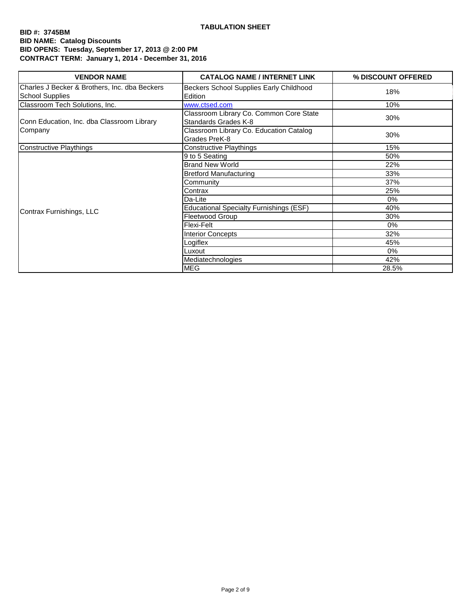| <b>VENDOR NAME</b>                                                      | <b>CATALOG NAME / INTERNET LINK</b>                             | % DISCOUNT OFFERED |
|-------------------------------------------------------------------------|-----------------------------------------------------------------|--------------------|
| Charles J Becker & Brothers, Inc. dba Beckers<br><b>School Supplies</b> | Beckers School Supplies Early Childhood<br>Edition              | 18%                |
| Classroom Tech Solutions, Inc.                                          | www.ctsed.com                                                   | 10%                |
| Conn Education, Inc. dba Classroom Library                              | Classroom Library Co. Common Core State<br>Standards Grades K-8 | 30%                |
| Company                                                                 | Classroom Library Co. Education Catalog<br>Grades PreK-8        | 30%                |
| <b>Constructive Playthings</b>                                          | <b>Constructive Playthings</b>                                  | 15%                |
|                                                                         | 9 to 5 Seating                                                  | 50%                |
|                                                                         | <b>Brand New World</b>                                          | 22%                |
|                                                                         | <b>Bretford Manufacturing</b>                                   | 33%                |
|                                                                         | Community                                                       | 37%                |
|                                                                         | Contrax                                                         | 25%                |
|                                                                         | Da-Lite                                                         | $0\%$              |
|                                                                         | <b>Educational Specialty Furnishings (ESF)</b>                  | 40%                |
| Contrax Furnishings, LLC                                                | Fleetwood Group                                                 | 30%                |
|                                                                         | Flexi-Felt                                                      | $0\%$              |
|                                                                         | <b>Interior Concepts</b>                                        | 32%                |
|                                                                         | Logiflex                                                        | 45%                |
|                                                                         | _uxout                                                          | 0%                 |
|                                                                         | Mediatechnologies                                               | 42%                |
|                                                                         | <b>MEG</b>                                                      | 28.5%              |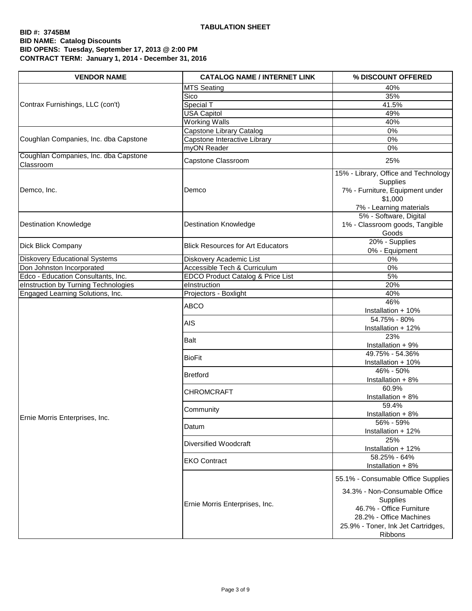| <b>VENDOR NAME</b>                                 | <b>CATALOG NAME / INTERNET LINK</b>          | % DISCOUNT OFFERED                                                                                                                                                           |
|----------------------------------------------------|----------------------------------------------|------------------------------------------------------------------------------------------------------------------------------------------------------------------------------|
|                                                    | <b>MTS Seating</b>                           | 40%                                                                                                                                                                          |
|                                                    | Sico                                         | 35%                                                                                                                                                                          |
| Contrax Furnishings, LLC (con't)                   | Special T                                    | 41.5%                                                                                                                                                                        |
|                                                    | <b>USA Capitol</b>                           | 49%                                                                                                                                                                          |
|                                                    | <b>Working Walls</b>                         | 40%                                                                                                                                                                          |
|                                                    | Capstone Library Catalog                     | $0\%$                                                                                                                                                                        |
| Coughlan Companies, Inc. dba Capstone              | Capstone Interactive Library                 | 0%                                                                                                                                                                           |
|                                                    | myON Reader                                  | 0%                                                                                                                                                                           |
| Coughlan Companies, Inc. dba Capstone<br>Classroom | Capstone Classroom                           | 25%                                                                                                                                                                          |
| Demco, Inc.                                        | Demco                                        | 15% - Library, Office and Technology<br>Supplies<br>7% - Furniture, Equipment under<br>\$1,000<br>7% - Learning materials                                                    |
| <b>Destination Knowledge</b>                       | <b>Destination Knowledge</b>                 | 5% - Software, Digital<br>1% - Classroom goods, Tangible<br>Goods                                                                                                            |
| Dick Blick Company                                 | <b>Blick Resources for Art Educators</b>     | 20% - Supplies<br>0% - Equipment                                                                                                                                             |
| <b>Diskovery Educational Systems</b>               | Diskovery Academic List                      | 0%                                                                                                                                                                           |
| Don Johnston Incorporated                          | Accessible Tech & Curriculum                 | 0%                                                                                                                                                                           |
| Edco - Education Consultants, Inc.                 | <b>EDCO Product Catalog &amp; Price List</b> | 5%                                                                                                                                                                           |
| elnstruction by Turning Technologies               | elnstruction                                 | 20%                                                                                                                                                                          |
| Engaged Learning Solutions, Inc.                   | Projectors - Boxlight                        | 40%                                                                                                                                                                          |
|                                                    | <b>ABCO</b>                                  | 46%<br>Installation + 10%                                                                                                                                                    |
|                                                    | <b>AIS</b>                                   | 54.75% - 80%<br>Installation + 12%                                                                                                                                           |
|                                                    | <b>Balt</b>                                  | 23%<br>Installation + 9%                                                                                                                                                     |
|                                                    | <b>BioFit</b>                                | 49.75% - 54.36%<br>Installation + 10%                                                                                                                                        |
|                                                    | <b>Bretford</b>                              | 46% - 50%<br>Installation + 8%                                                                                                                                               |
|                                                    | <b>CHROMCRAFT</b>                            | 60.9%<br>Installation + 8%                                                                                                                                                   |
| Ernie Morris Enterprises, Inc.                     | Community                                    | 59.4%<br>Installation + 8%                                                                                                                                                   |
|                                                    | Datum                                        | 56% - 59%<br>Installation + 12%                                                                                                                                              |
|                                                    | Diversified Woodcraft                        | 25%<br>Installation + 12%                                                                                                                                                    |
|                                                    | <b>EKO Contract</b>                          | 58.25% - 64%<br>Installation + 8%                                                                                                                                            |
|                                                    | Ernie Morris Enterprises, Inc.               | 55.1% - Consumable Office Supplies<br>34.3% - Non-Consumable Office<br>Supplies<br>46.7% - Office Furniture<br>28.2% - Office Machines<br>25.9% - Toner, Ink Jet Cartridges, |
|                                                    |                                              | Ribbons                                                                                                                                                                      |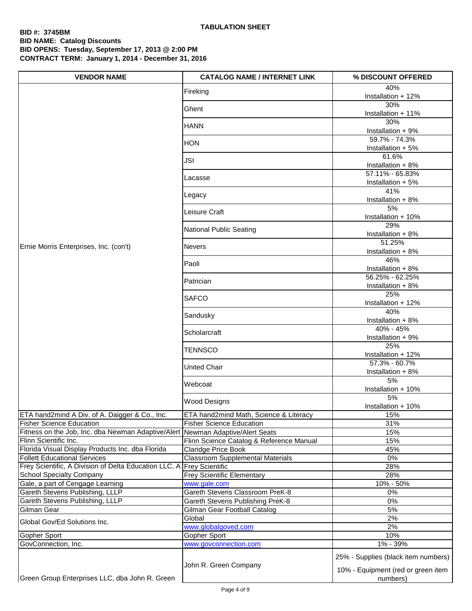| <b>VENDOR NAME</b>                                                    | <b>CATALOG NAME / INTERNET LINK</b>             | % DISCOUNT OFFERED                             |
|-----------------------------------------------------------------------|-------------------------------------------------|------------------------------------------------|
|                                                                       | Fireking                                        | 40%<br>Installation + 12%                      |
|                                                                       | Ghent                                           | 30%                                            |
|                                                                       |                                                 | Installation + 11%<br>30%                      |
|                                                                       | <b>HANN</b>                                     | Installation + 9%                              |
|                                                                       | <b>HON</b>                                      | 59.7% - 74.3%<br>Installation + 5%             |
|                                                                       | JSI                                             | 61.6%<br>Installation + 8%                     |
|                                                                       | Lacasse                                         | 57.11% - 65.83%<br>Installation + 5%           |
|                                                                       | Legacy                                          | 41%<br>Installation + 8%                       |
|                                                                       | Leisure Craft                                   | 5%<br>Installation + 10%                       |
|                                                                       | National Public Seating                         | 29%<br>Installation + 8%                       |
| Ernie Morris Enterprises, Inc. (con't)                                | <b>Nevers</b>                                   | 51.25%<br>Installation + 8%                    |
|                                                                       | Paoli                                           | 46%                                            |
|                                                                       |                                                 | Installation + 8%<br>56.25% - 62.25%           |
|                                                                       | Patrician                                       | Installation + 8%                              |
|                                                                       | <b>SAFCO</b>                                    | 25%<br>Installation + 12%                      |
|                                                                       | Sandusky                                        | 40%<br>Installation + 8%                       |
|                                                                       | Scholarcraft                                    | 40% - 45%<br>Installation + 9%                 |
|                                                                       | TENNSCO                                         | 25%<br>Installation + 12%                      |
|                                                                       | <b>United Chair</b>                             | 57.3% - 60.7%<br>Installation + 8%             |
|                                                                       | Webcoat                                         | 5%<br>Installation + 10%                       |
|                                                                       | <b>Wood Designs</b>                             | 5%<br>Installation + 10%                       |
| ETA hand2mind A Div. of A. Daigger & Co., Inc.                        | ETA hand2mind Math, Science & Literacy          | 15%                                            |
| <b>Fisher Science Education</b>                                       | <b>Fisher Science Education</b>                 | 31%                                            |
| Fitness on the Job, Inc. dba Newman Adaptive/Alert                    | Newman Adaptive/Alert Seats                     | 15%                                            |
| Flinn Scientific Inc.                                                 | Flinn Science Catalog & Reference Manual        | 15%                                            |
| Florida Visual Display Products Inc. dba Florida                      | <b>Claridge Price Book</b>                      | 45%                                            |
| <b>Follett Educational Services</b>                                   | <b>Classroom Supplemental Materials</b>         | 0%                                             |
| Frey Scientific, A Division of Delta Education LLC, A Frey Scientific |                                                 | 28%                                            |
| <b>School Specialty Company</b>                                       | <b>Frey Scientific Elementary</b>               | 28%                                            |
| Gale, a part of Cengage Learning<br>Gareth Stevens Publishing, LLLP   | www.gale.com<br>Gareth Stevens Classroom PreK-8 | 10% - 50%<br>0%                                |
| Gareth Stevens Publishing, LLLP                                       | Gareth Stevens Publishing PreK-8                | 0%                                             |
| Gilman Gear                                                           | Gilman Gear Football Catalog                    | 5%                                             |
|                                                                       | Global                                          | 2%                                             |
| Global Gov/Ed Solutions Inc.                                          | www.globalgoved.com                             | 2%                                             |
| Gopher Sport                                                          | Gopher Sport                                    | 10%                                            |
| GovConnection, Inc.                                                   | www.govconnection.com                           | 1% - 39%                                       |
|                                                                       |                                                 | 25% - Supplies (black item numbers)            |
| Green Group Enterprises LLC, dba John R. Green                        | John R. Green Company                           | 10% - Equipment (red or green item<br>numbers) |
|                                                                       |                                                 |                                                |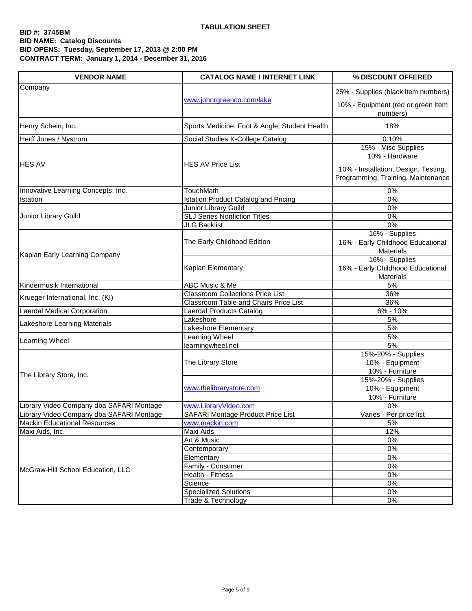| Company<br>25% - Supplies (black item numbers)<br>www.johnrgreenco.com/lake<br>10% - Equipment (red or green item<br>numbers)<br>Henry Schein, Inc.<br>18%<br>Sports Medicine, Foot & Angle, Student Health<br>Herff Jones / Nystrom<br>Social Studies K-College Catalog<br>0.10%<br>15% - Misc Supplies |  |
|----------------------------------------------------------------------------------------------------------------------------------------------------------------------------------------------------------------------------------------------------------------------------------------------------------|--|
|                                                                                                                                                                                                                                                                                                          |  |
|                                                                                                                                                                                                                                                                                                          |  |
|                                                                                                                                                                                                                                                                                                          |  |
|                                                                                                                                                                                                                                                                                                          |  |
| 10% - Hardware<br><b>HES AV</b><br><b>HES AV Price List</b><br>10% - Installation, Design, Testing,                                                                                                                                                                                                      |  |
| Programming, Training, Maintenance                                                                                                                                                                                                                                                                       |  |
| Innovative Learning Concepts, Inc.<br>0%<br>TouchMath                                                                                                                                                                                                                                                    |  |
| 0%<br><b>Istation Product Catalog and Pricing</b><br>Istation                                                                                                                                                                                                                                            |  |
| Junior Library Guild<br>0%                                                                                                                                                                                                                                                                               |  |
| <b>SLJ Series Nonfiction Titles</b><br>Junior Library Guild<br>0%                                                                                                                                                                                                                                        |  |
| <b>JLG Backlist</b><br>0%                                                                                                                                                                                                                                                                                |  |
| 16% - Supplies<br>16% - Early Childhood Educational<br>The Early Childhood Edition<br><b>Materials</b><br>Kaplan Early Learning Company                                                                                                                                                                  |  |
| 16% - Supplies<br>16% - Early Childhood Educational<br>Kaplan Elementary<br>Materials                                                                                                                                                                                                                    |  |
| 5%<br>Kindermusik International<br>ABC Music & Me                                                                                                                                                                                                                                                        |  |
| <b>Classroom Collections Price List</b><br>36%<br>Krueger International, Inc. (KI)                                                                                                                                                                                                                       |  |
| 36%<br>Classroom Table and Chairs Price List                                                                                                                                                                                                                                                             |  |
| Laerdal Medical Corporation<br>6% - 10%<br>Laerdal Products Catalog                                                                                                                                                                                                                                      |  |
| 5%<br>Lakeshore<br>Lakeshore Learning Materials                                                                                                                                                                                                                                                          |  |
| Lakeshore Elementary<br>5%                                                                                                                                                                                                                                                                               |  |
| Learning Wheel<br>5%                                                                                                                                                                                                                                                                                     |  |
| <b>Learning Wheel</b><br>5%<br>learningwheel.net                                                                                                                                                                                                                                                         |  |
| 15%-20% - Supplies<br>The Library Store<br>10% - Equipment<br>10% - Furniture<br>The Library Store, Inc.                                                                                                                                                                                                 |  |
| 15%-20% - Supplies<br>www.thelibrarystore.com<br>10% - Equipment<br>10% - Furniture                                                                                                                                                                                                                      |  |
| Library Video Company dba SAFARI Montage<br>www.LibraryVideo.com<br>0%                                                                                                                                                                                                                                   |  |
| Library Video Company dba SAFARI Montage<br>SAFARI Montage Product Price List<br>Varies - Per price list                                                                                                                                                                                                 |  |
| <b>Mackin Educational Resources</b><br>5%<br>www.mackin.com                                                                                                                                                                                                                                              |  |
| 12%<br>Maxi Aids, Inc.<br>Maxi Aids                                                                                                                                                                                                                                                                      |  |
| $0\%$<br>Art & Music                                                                                                                                                                                                                                                                                     |  |
| $0\%$<br>Contemporary                                                                                                                                                                                                                                                                                    |  |
| Elementary<br>$0\%$                                                                                                                                                                                                                                                                                      |  |
| 0%<br>Family - Consumer<br>McGraw-Hill School Education, LLC                                                                                                                                                                                                                                             |  |
| $0\%$<br>Health - Fitness                                                                                                                                                                                                                                                                                |  |
| $0\%$<br>Science                                                                                                                                                                                                                                                                                         |  |
| <b>Specialized Solutions</b><br>0%                                                                                                                                                                                                                                                                       |  |
| Trade & Technology<br>0%                                                                                                                                                                                                                                                                                 |  |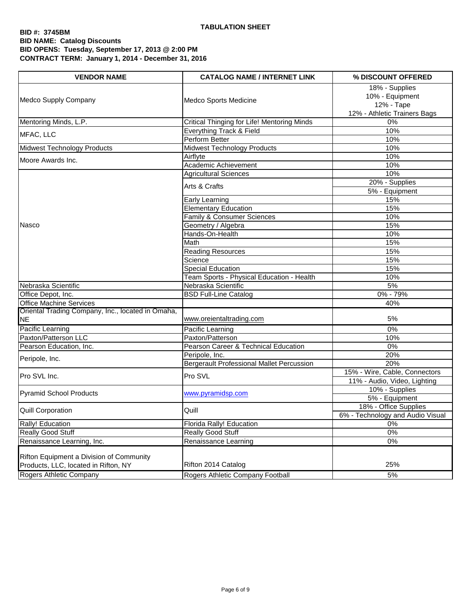$\mathbf{r}$ 

| <b>VENDOR NAME</b>                                                               | <b>CATALOG NAME / INTERNET LINK</b>              | % DISCOUNT OFFERED                                                              |
|----------------------------------------------------------------------------------|--------------------------------------------------|---------------------------------------------------------------------------------|
| Medco Supply Company                                                             | Medco Sports Medicine                            | 18% - Supplies<br>10% - Equipment<br>12% - Tape<br>12% - Athletic Trainers Bags |
| Mentoring Minds, L.P.                                                            | Critical Thinging for Life! Mentoring Minds      | 0%                                                                              |
|                                                                                  | Everything Track & Field                         | 10%                                                                             |
| MFAC, LLC                                                                        | Perform Better                                   | 10%                                                                             |
| Midwest Technology Products                                                      | <b>Midwest Technology Products</b>               | 10%                                                                             |
| Moore Awards Inc.                                                                | Airflyte                                         | 10%                                                                             |
|                                                                                  | Academic Achievement                             | 10%                                                                             |
|                                                                                  | <b>Agricultural Sciences</b>                     | 10%                                                                             |
|                                                                                  | Arts & Crafts                                    | 20% - Supplies<br>5% - Equipment                                                |
|                                                                                  | <b>Early Learning</b>                            | 15%                                                                             |
|                                                                                  | <b>Elementary Education</b>                      | 15%                                                                             |
|                                                                                  | <b>Family &amp; Consumer Sciences</b>            | 10%                                                                             |
| Nasco                                                                            | Geometry / Algebra                               | 15%                                                                             |
|                                                                                  | Hands-On-Health                                  | 10%                                                                             |
|                                                                                  | Math                                             | 15%                                                                             |
|                                                                                  | <b>Reading Resources</b>                         | 15%                                                                             |
|                                                                                  | Science                                          | 15%                                                                             |
|                                                                                  | <b>Special Education</b>                         | 15%                                                                             |
|                                                                                  | Team Sports - Physical Education - Health        | 10%                                                                             |
| Nebraska Scientific                                                              | Nebraska Scientific                              | 5%                                                                              |
| Office Depot, Inc.                                                               | <b>BSD Full-Line Catalog</b>                     | 0% - 79%                                                                        |
| <b>Office Machine Services</b>                                                   |                                                  | 40%                                                                             |
| Oriental Trading Company, Inc., located in Omaha,<br>NE                          | www.oreientaltrading.com                         | 5%                                                                              |
| Pacific Learning                                                                 | Pacific Learning                                 | 0%                                                                              |
| Paxton/Patterson LLC                                                             | Paxton/Patterson                                 | 10%                                                                             |
| Pearson Education, Inc.                                                          | Pearson Career & Technical Education             | 0%                                                                              |
| Peripole, Inc.                                                                   | Peripole, Inc.                                   | 20%                                                                             |
|                                                                                  | <b>Bergerault Professional Mallet Percussion</b> | 20%                                                                             |
| Pro SVL Inc.                                                                     | Pro SVL                                          | 15% - Wire, Cable, Connectors<br>11% - Audio, Video, Lighting                   |
| <b>Pyramid School Products</b>                                                   | www.pyramidsp.com                                | 10% - Supplies<br>5% - Equipment                                                |
| Quill Corporation                                                                | Quill                                            | 18% - Office Supplies                                                           |
| <b>Rally! Education</b>                                                          |                                                  | 6% - Technology and Audio Visual                                                |
| Really Good Stuff                                                                | Florida Rally! Education<br>Really Good Stuff    | 0%<br>0%                                                                        |
| Renaissance Learning, Inc.                                                       | Renaissance Learning                             | $0\%$                                                                           |
|                                                                                  |                                                  |                                                                                 |
| Rifton Equipment a Division of Community<br>Products, LLC, located in Rifton, NY | Rifton 2014 Catalog                              | 25%                                                                             |
| Rogers Athletic Company                                                          | Rogers Athletic Company Football                 | 5%                                                                              |
|                                                                                  |                                                  |                                                                                 |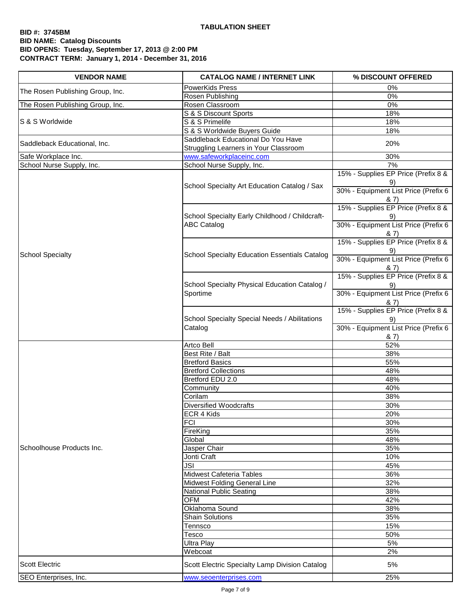| <b>VENDOR NAME</b>               | <b>CATALOG NAME / INTERNET LINK</b>                  | % DISCOUNT OFFERED                         |
|----------------------------------|------------------------------------------------------|--------------------------------------------|
| The Rosen Publishing Group, Inc. | PowerKids Press                                      | 0%                                         |
|                                  | Rosen Publishing                                     | 0%                                         |
| The Rosen Publishing Group, Inc. | Rosen Classroom                                      | 0%                                         |
|                                  | S & S Discount Sports                                | 18%                                        |
| S & S Worldwide                  | S & S Primelife                                      | 18%                                        |
|                                  | S & S Worldwide Buyers Guide                         | 18%                                        |
| Saddleback Educational, Inc.     | Saddleback Educational Do You Have                   | 20%                                        |
|                                  | <b>Struggling Learners in Your Classroom</b>         |                                            |
| Safe Workplace Inc.              | www.safeworkplaceinc.com                             | 30%<br>7%                                  |
| School Nurse Supply, Inc.        | School Nurse Supply, Inc.                            | 15% - Supplies EP Price (Prefix 8 &        |
|                                  |                                                      | 9)                                         |
|                                  | School Specialty Art Education Catalog / Sax         | 30% - Equipment List Price (Prefix 6       |
|                                  |                                                      | & 7)                                       |
|                                  |                                                      | 15% - Supplies EP Price (Prefix 8 &        |
|                                  | School Specialty Early Childhood / Childcraft-       | 9)                                         |
|                                  | <b>ABC Catalog</b>                                   | 30% - Equipment List Price (Prefix 6       |
|                                  |                                                      | 8, 7)                                      |
|                                  |                                                      | 15% - Supplies EP Price (Prefix 8 &        |
| <b>School Specialty</b>          | <b>School Specialty Education Essentials Catalog</b> | 9)                                         |
|                                  |                                                      | 30% - Equipment List Price (Prefix 6       |
|                                  |                                                      | 8, 7)                                      |
|                                  |                                                      | 15% - Supplies EP Price (Prefix 8 &        |
|                                  | School Specialty Physical Education Catalog /        | 9)                                         |
|                                  | Sportime                                             | 30% - Equipment List Price (Prefix 6       |
|                                  |                                                      | & 7)                                       |
|                                  |                                                      | 15% - Supplies EP Price (Prefix 8 &        |
|                                  | School Specialty Special Needs / Abilitations        | 9)<br>30% - Equipment List Price (Prefix 6 |
|                                  | Catalog                                              | 8, 7)                                      |
|                                  | Artco Bell                                           | 52%                                        |
|                                  | Best Rite / Balt                                     | 38%                                        |
|                                  | <b>Bretford Basics</b>                               | 55%                                        |
|                                  | <b>Bretford Collections</b>                          | 48%                                        |
|                                  | Bretford EDU 2.0                                     | 48%                                        |
|                                  | Community                                            | 40%                                        |
|                                  | Corilam                                              | 38%                                        |
|                                  | Diversified Woodcrafts                               | 30%                                        |
|                                  | ECR 4 Kids                                           | 20%                                        |
|                                  | <b>FCI</b>                                           | 30%                                        |
|                                  | FireKing                                             | 35%                                        |
|                                  | Global                                               | 48%                                        |
| Schoolhouse Products Inc.        | Jasper Chair                                         | 35%                                        |
|                                  | Jonti Craft                                          | 10%                                        |
|                                  | JSI                                                  | 45%                                        |
|                                  | Midwest Cafeteria Tables                             | 36%                                        |
|                                  | Midwest Folding General Line                         | 32%                                        |
|                                  | National Public Seating<br>OFM                       | 38%<br>42%                                 |
|                                  | Oklahoma Sound                                       | 38%                                        |
|                                  | <b>Shain Solutions</b>                               | 35%                                        |
|                                  | Tennsco                                              | 15%                                        |
|                                  | Tesco                                                | 50%                                        |
|                                  | Ultra Play                                           | 5%                                         |
|                                  | Webcoat                                              | 2%                                         |
| <b>Scott Electric</b>            | Scott Electric Specialty Lamp Division Catalog       | 5%                                         |
| SEO Enterprises, Inc.            | www.seoenterprises.com                               | 25%                                        |
|                                  |                                                      |                                            |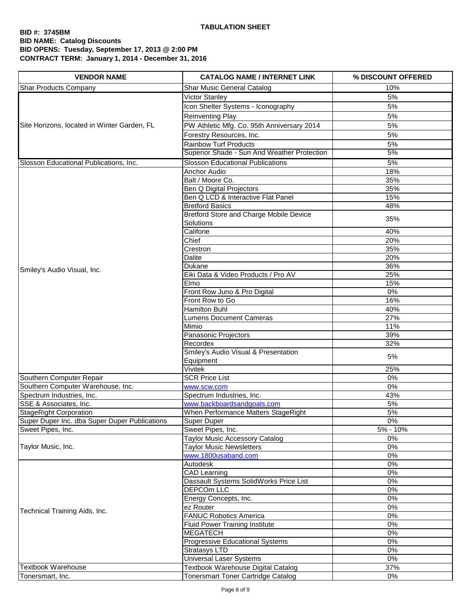| <b>VENDOR NAME</b>                            | <b>CATALOG NAME / INTERNET LINK</b>                  | % DISCOUNT OFFERED |
|-----------------------------------------------|------------------------------------------------------|--------------------|
| <b>Shar Products Company</b>                  | Shar Music General Catalog                           | 10%                |
|                                               | Victor Stanley                                       | 5%                 |
|                                               | Icon Shelter Systems - Iconography                   | 5%                 |
| Site Horizons, located in Winter Garden, FL   | <b>Reinventing Play</b>                              | 5%                 |
|                                               | PW Athletic Mfg. Co. 95th Anniversary 2014           | 5%                 |
|                                               | Forestry Resources, Inc.                             | 5%                 |
|                                               | <b>Rainbow Turf Products</b>                         | 5%                 |
|                                               | Superior Shade - Sun And Weather Protection          | 5%                 |
| Slosson Educational Publications, Inc.        | <b>Slosson Educational Publications</b>              | 5%                 |
|                                               | Anchor Audio                                         | 18%                |
|                                               | Balt / Moore Co.                                     | 35%                |
|                                               | Ben Q Digital Projectors                             | 35%                |
|                                               | Ben Q LCD & Interactive Flat Panel                   | 15%                |
|                                               | <b>Bretford Basics</b>                               | 48%                |
|                                               | Bretford Store and Charge Mobile Device<br>Solutions | 35%                |
|                                               | Califone                                             | 40%                |
|                                               | Chief                                                | 20%                |
|                                               | Crestron                                             | 35%                |
|                                               | Dalite                                               | 20%                |
| Smiley's Audio Visual, Inc.                   | Dukane                                               | 36%                |
|                                               | Eiki Data & Video Products / Pro AV                  | 25%                |
|                                               | Elmo                                                 | 15%                |
|                                               | Front Row Juno & Pro Digital                         | 0%                 |
|                                               | Front Row to Go                                      | 16%                |
|                                               | Hamilton Buhl                                        | 40%                |
|                                               | <b>Lumens Document Cameras</b>                       | 27%                |
|                                               | Mimio                                                | 11%<br>39%         |
|                                               | Panasonic Projectors<br>Recordex                     | 32%                |
|                                               | Smiley's Audio Visual & Presentation                 |                    |
|                                               | Equipment                                            | 5%                 |
|                                               | <b>Vivitek</b>                                       | 25%                |
| Southern Computer Repair                      | <b>SCR Price List</b>                                | 0%                 |
| Southern Computer Warehouse, Inc.             | www.scw.com                                          | 0%                 |
| Spectrum Industries, Inc.                     | Spectrum Industries, Inc.                            | 43%                |
| SSE & Associates, Inc.                        | www.backboardsandgoals.com                           | 5%                 |
| <b>StageRight Corporation</b>                 | When Performance Matters StageRight                  | 5%                 |
| Super Duper Inc. dba Super Duper Publications | Super Duper                                          | 0%                 |
| Sweet Pipes, Inc.                             | Sweet Pipes, Inc.                                    | 5% - 10%           |
|                                               | <b>Taylor Music Accessory Catalog</b>                | 0%                 |
| Taylor Music, Inc.                            | <b>Taylor Music Newsletters</b>                      | 0%                 |
|                                               | www.1800usaband.com                                  | 0%                 |
|                                               | Autodesk                                             | 0%                 |
|                                               | <b>CAD Learning</b>                                  | $0\%$              |
|                                               | Dassault Systems SolidWorks Price List               | 0%                 |
|                                               | DEPCOm LLC                                           | 0%                 |
|                                               | Energy Concepts, Inc.                                | 0%                 |
| Technical Training Aids, Inc.                 | ez Router<br><b>FANUC Robotics America</b>           | 0%                 |
|                                               | <b>Fluid Power Training Institute</b>                | 0%<br>0%           |
|                                               | <b>MEGATECH</b>                                      | 0%                 |
|                                               | Progressive Educational Systems                      | 0%                 |
|                                               | Stratasys LTD                                        | 0%                 |
|                                               | <b>Universal Laser Systems</b>                       | 0%                 |
| <b>Textbook Warehouse</b>                     | <b>Textbook Warehouse Digital Catalog</b>            | 37%                |
| Tonersmart, Inc.                              | <b>Tonersmart Toner Cartridge Catalog</b>            | 0%                 |